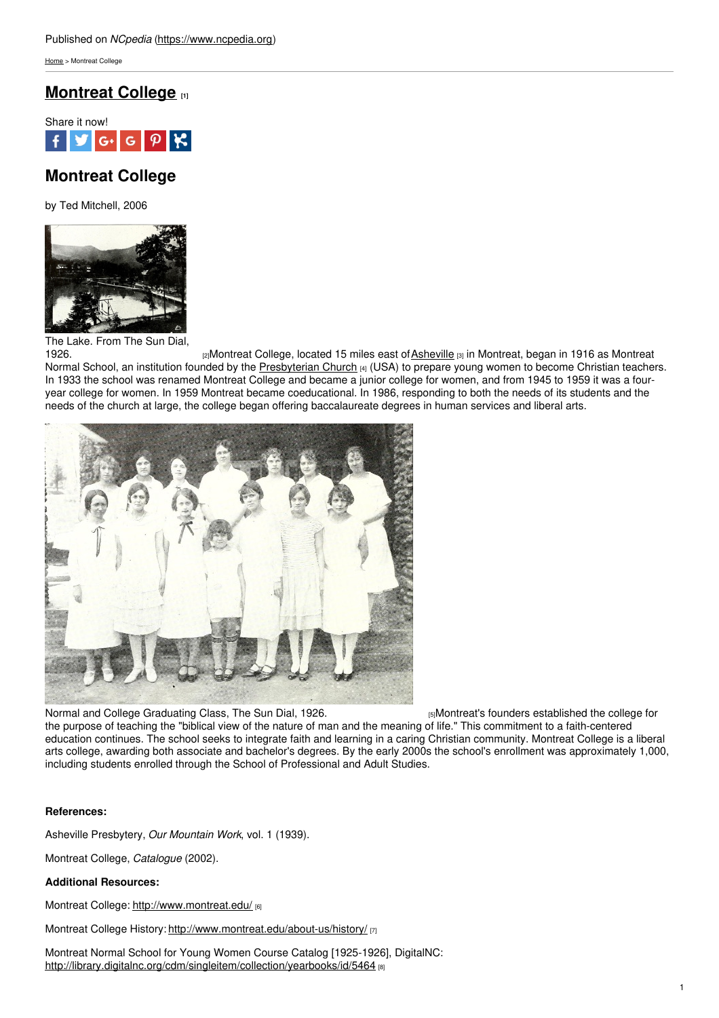[Home](https://www.ncpedia.org/) > Montreat College

## **[Montreat](https://www.ncpedia.org/montreat-college) College [1]**



# **Montreat College**

by Ted Mitchell, 2006



The Lake. From The Sun Dial

<sub>[2]</sub>Montreat College, located 15 miles east of [Asheville](https://www.ncpedia.org/asheville) [3] in Montreat, began in 1916 as Montreat Normal School, an institution founded by the [Presbyterian](https://www.ncpedia.org/presbyterian-church-0) Church [4] (USA) to prepare young women to become Christian teachers. In 1933 the school was renamed Montreat College and became a junior college for women, and from 1945 to 1959 it was a fouryear college for women. In 1959 Montreat became coeducational. In 1986, responding to both the needs of its students and the needs of the church at large, the college began offering baccalaureate degrees in human services and liberal arts.



Normal and College [Graduating](https://archive.org/stream/sundial1926mont#page/6/mode/2up) Class, The Sun Dial, 1926. **[5]Montreat's founders established the college for** the purpose of teaching the "biblical view of the nature of man and the meaning of life." This commitment to a faith-centered education continues. The school seeks to integrate faith and learning in a caring Christian community. Montreat College is a liberal arts college, awarding both associate and bachelor's degrees. By the early 2000s the school's enrollment was approximately 1,000, including students enrolled through the School of Professional and Adult Studies.

### **References:**

Asheville Presbytery, *Our Mountain Work*, vol. 1 (1939).

Montreat College, *Catalogue* (2002).

### **Additional Resources:**

Montreat College: <http://www.montreat.edu/> [6]

Montreat College History: <http://www.montreat.edu/about-us/history/> [7]

Montreat Normal School for Young Women Course Catalog [1925-1926], DigitalNC: <http://library.digitalnc.org/cdm/singleitem/collection/yearbooks/id/5464> [8]